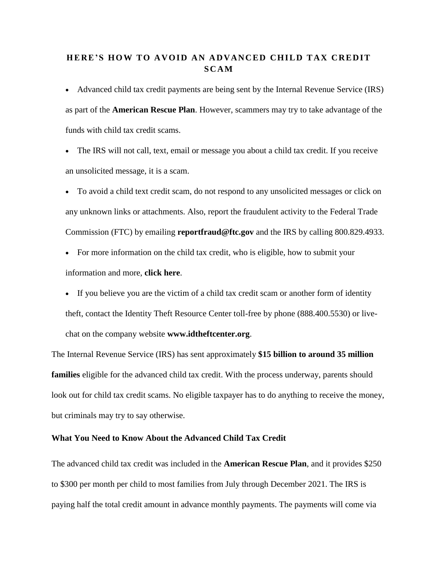# **HE RE ' S HO W TO A V OI D A N [A D VAN C ED](https://www.idtheftcenter.org/here-is-how-to-avoid-an-advanced-child-tax-credit-scam/) CHI LD T AX C RE DIT [S C AM](https://www.idtheftcenter.org/here-is-how-to-avoid-an-advanced-child-tax-credit-scam/)**

• Advanced child tax credit payments are being sent by the Internal Revenue Service (IRS) as part of the **[American](https://www.whitehouse.gov/child-tax-credit/) Rescue Plan**. However, scammers may try to take advantage of the funds with child tax credit scams.

• The IRS will not call, text, email or message you about a child tax credit. If you receive an unsolicited message, it is a scam.

• To avoid a child text credit scam, do not respond to any unsolicited messages or click on any unknown links or attachments. Also, report the fraudulent activity to the Federal Trade Commission (FTC) by emailing **[reportfraud@ftc.gov](mailto:reportfraud@ftc.gov)** and the IRS by calling 800.829.4933.

- For more information on the child tax credit, who is eligible, how to submit your information and more, **[click](https://www.irs.gov/credits-deductions/advance-child-tax-credit-payments-in-2021) here**.
- If you believe you are the victim of a child tax credit scam or another form of identity theft, contact the Identity Theft Resource Center toll-free by phone (888.400.5530) or livechat on the company website **[www.idtheftcenter.org](http://www.idtheftcenter.org/)**.

The Internal Revenue Service (IRS) has sent approximately **\$15 billion to [around](https://www.irs.gov/newsroom/irs-monthly-child-tax-credit-payments-begin) 35 million [families](https://www.irs.gov/newsroom/irs-monthly-child-tax-credit-payments-begin)** eligible for the advanced child tax credit. With the process underway, parents should look out for child tax credit scams. No eligible taxpayer has to do anything to receive the money, but criminals may try to say otherwise.

### **What You Need to Know About the Advanced Child Tax Credit**

The advanced child tax credit was included in the **[American](https://www.whitehouse.gov/child-tax-credit/) Rescue Plan**, and it provides \$250 to \$300 per month per child to most families from July through December 2021. The IRS is paying half the total credit amount in advance monthly payments. The payments will come via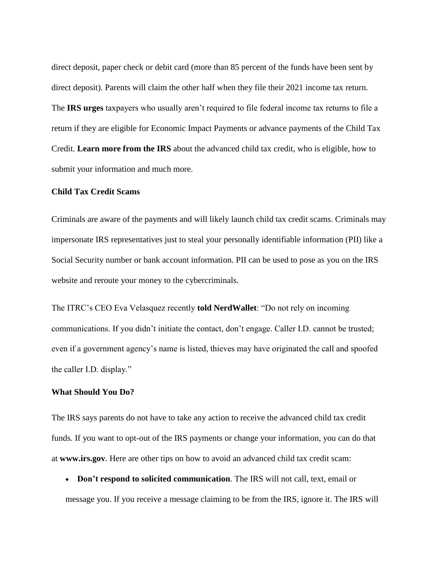direct deposit, paper check or debit card (more than 85 percent of the funds have been sent by direct deposit). Parents will claim the other half when they file their 2021 income tax return. The **IRS [urges](https://www.irs.gov/newsroom/2021-child-tax-credit-and-advance-child-tax-credit-payments-resources-and-guidance)** taxpayers who usually aren't required to file federal income tax returns to file a return if they are eligible for Economic Impact Payments or advance payments of the Child Tax Credit. **[Learn](https://www.irs.gov/credits-deductions/advance-child-tax-credit-payments-in-2021) more from the IRS** about the advanced child tax credit, who is eligible, how to submit your information and much more.

#### **Child Tax Credit Scams**

Criminals are aware of the payments and will likely launch child tax credit scams. Criminals may impersonate IRS representatives just to steal your personally identifiable information (PII) like a Social Security number or bank account information. PII can be used to pose as you on the IRS website and reroute your money to the cybercriminals.

The ITRC's CEO Eva Velasquez recently **told [NerdWallet](https://www.nerdwallet.com/article/finance/scam-alert-child-tax-credit-is-automatic-no-need-to-apply)**: "Do not rely on incoming communications. If you didn't initiate the contact, don't engage. Caller I.D. cannot be trusted; even if a government agency's name is listed, thieves may have originated the call and spoofed the caller I.D. display."

#### **What Should You Do?**

The IRS says parents do not have to take any action to receive the advanced child tax credit funds. If you want to opt-out of the IRS payments or change your information, you can do that at **[www.irs.gov](http://www.irs.gov/)**. Here are other tips on how to avoid an advanced child tax credit scam:

• **Don't respond to solicited communication**. The IRS will not call, text, email or message you. If you receive a message claiming to be from the IRS, ignore it. The IRS will